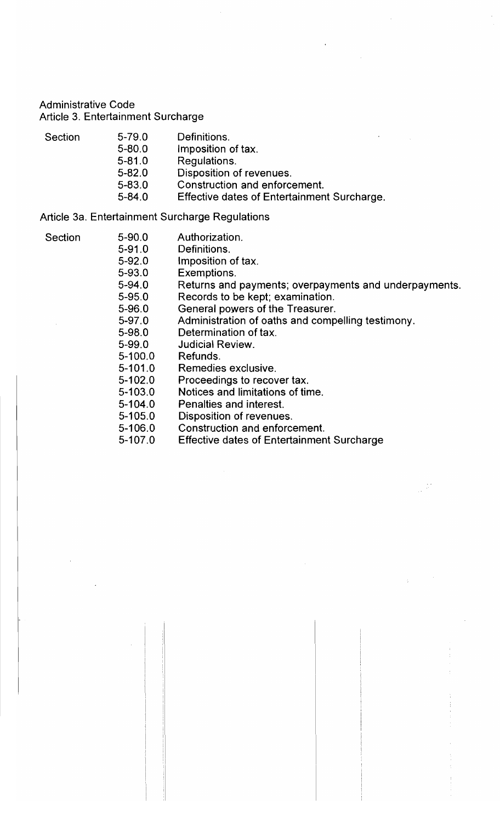**Administrative Code** Article 3. Entertainment Surcharge

- 
- Section 5-79.0 Definitions.<br>5-80.0 Imposition of tax.
	-
	- $5 81.0$ Regulations
	- 5-80.0 Disposition of t
	- 5-83.0 Constructi
	- 5-82.0 **Effective dates of Ent**

#### 5-83.0 ntertain Surcharge Regulations  $\mathcal{L}$

- 
- Section 5-90.0 Authorization.<br>5-91.0 Definitions.
	-
	- $5-92.0$ **Imposition**
	- 5-93.0 Exemptio
	- 5-92.0 **Returns and part in Returns**
	- 5-93.0 Records t
	- 5-94.0 General powers of the Treasurer.
	- 5-95.0 Administration of oaths and co
	- 5-96.0 Determination of tax.
	- 5-97.0 **Judicial Review.**
	- 5-100.0 Refunds.
	- 5-101.0 Remedies exo
	- 5-100.0 Procee
	- 5-103.0 **Notices and limital**
	- 5-102.0 Penalties and interest.
	- 5-103.0 Disposition of revenues.
	- 5-106.0 **Penalties Construction and en**
	- 5-105.0 **Effective dates of Ent**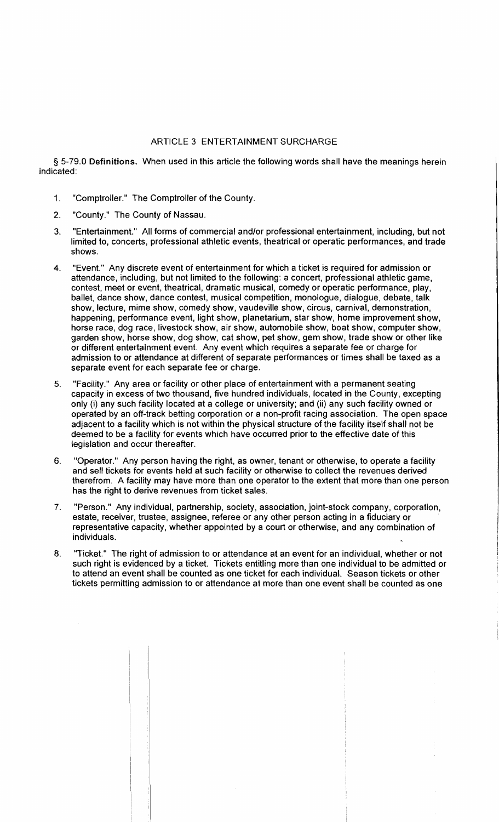### ARTICLE 3 ENTERTAINMENT SURCHARGE

§ 5-79.0 Definitions. When used in this article the following words shall have the meanings herein indicated:

- 1. "Comptroller." The Comptroller of the County.
- 2. "County." The County of Nassau.
- 3. "Entertainment." All forms of commercial and/or professional entertainment, including, but not limited to, concerts, professional athletic events, theatrical or operatic performances, and trade shows.
- 4. "Event." Any discrete event of entertainment for which a ticket is required for admission or attendance, including, but not limited to the following: a concert, professional athletic game, contest, meet or event, theatrical, dramatic musical, comedy or operatic performance, play, ballet, dance show, dance contest, musical competition, monologue, dialogue, debate, talk show, lecture, mime show, comedy show, vaudeville show, circus, carnival, demonstration, happening, performance event, light show, planetarium, star show, home improvement show, horse race, dog race, livestock show, air show, automobile show, boat show, computer show, garden show, horse show, dog show, cat show, pet show, gem show, trade show or other like or different entertainment event. Any event which requires a separate fee or charge for admission to or attendance at different of separate performances or times shall be taxed as a separate event for each separate fee or charge.
- 5. "Facility." Any area or facility or other place of entertainment with a permanent seating capacity in excess of two thousand, five hundred individuals, located in the County, excepting only (i) any such facility located at a college or university; and (ii) any such facility owned or operated by an off-track betting corporation or a non-profit racing association. The open space adjacent to a facility which is not within the physical structure of the facility itself shall not be deemed to be a facility for events which have occurred prior to the effective date of this legislation and occur thereafter.
- 6. "Operator." Any person having the right, as owner, tenant or otherwise, to operate a facility and sell tickets for events held at such facility or otherwise to collect the revenues derived therefrom. A facility may have more than one operator to the extent that more than one person has the right to derive revenues from ticket sales.
- 7. "Person." Any individual, partnership, society, association, joint-stock company, corporation, estate, receiver, trustee, assignee, referee or any other person acting in a fiduciary or representative capacity, whether appointed by a court or otherwise, and any combination of individuals.
- 8. "Ticket." The right of admission to or attendance at an event for an individual, whether or not such right is evidenced by a ticket. Tickets entitling more than one individual to be admitted or to attend an event shall be counted as one ticket for each individual. Season tickets or other tickets permitting admission to or attendance at more than one event shall be counted as one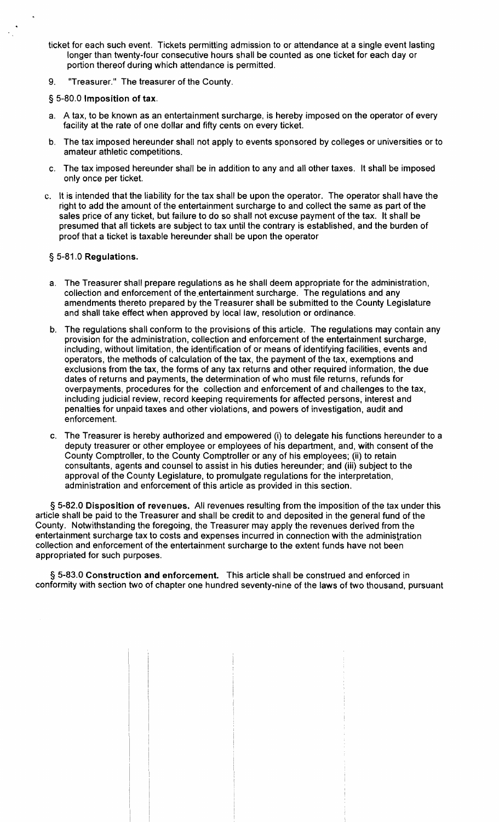- ticket for each such event. Tickets permitting admission to or attendance at a single event lasting longer than twenty-four consecutive hours shall be counted as one ticket for each day or portion thereof during which attendance is permitted.
- 9. "Treasurer." The treasurer of the County.

## § 5-80.0 Imposition of tax.

- a. A tax, to be known as an entertainment surcharge, is hereby imposed on the operator of every facility at the rate of one dollar and fifty cents on every ticket.
- b. The tax imposed hereunder shall not apply to events sponsored by colleges or universities or to amateur athletic competitions.
- c. The tax imposed hereunder shall be in addition to any and all other taxes. It shall be imposed only once per ticket.
- c. It is intended that the liability for the tax shall be upon the operator. The operator shall have the right to add the amount of the entertainment surcharge to and collect the same as part of the sales price of any ticket, but failure to do so shall not excuse payment of the tax. It shall be presumed that all tickets are subject to tax until the contrary is established, and the burden of proof that a ticket is taxable hereunder shall be upon the operator

## § 5-81.0 Regulations.

- a. The Treasurer shall prepare regulations as he shall deem appropriate for the administration, collection and enforcement of the entertainment surcharge. The regulations and any amendments thereto prepared by the Treasurer shall be submitted to the County Legislature and shall take effect when approved by local law, resolution or ordinance.
- b. The regulations shall conform to the provisions of this article. The regulations may contain any provision for the administration, collection and enforcement of the entertainment surcharge, including, without limitation, the identification of or means of identifying facilities, events and operators, the methods of calculation of the tax, the payment of the tax, exemptions and exclusions from the tax, the forms of any tax returns and other required information, the due dates of returns and payments, the determination of who must file returns, refunds for overpayments, procedures for the collection and enforcement of and challenges to the tax, including judicial review, record keeping requirements for affected persons, interest and penalties for unpaid taxes and other violations, and powers of investigation, audit and enforcement.
- c. The Treasurer is hereby authorized and empowered (i) to delegate his functions hereunder to a deputy treasurer or other employee or employees of his department, and, with consent of the County Comptroller, to the County Comptroller or any of his employees; (ii) to retain consultants, agents and counsel to assist in his duties hereunder; and (iii) subject to the approval of the County Legislature, to promulgate regulations for the interpretation, administration and enforcement of this article as provided in this section.

§ 5-82.0 Disposition of revenues. All revenues resulting from the imposition of the tax under this article shall be paid to the Treasurer and shall be credit to and deposited in the general fund of the County. Notwithstanding the foregoing, the Treasurer may apply the revenues derived from the entertainment surcharge tax to costs and expenses incurred in connection with the administration collection and enforcement of the entertainment surcharge to the extent funds have not been appropriated for such purposes.

§ 5-83.0 Construction and enforcement. This article shall be construed and enforced in conformity with section two of chapter one hundred seventy-nine of the laws of two thousand, pursuant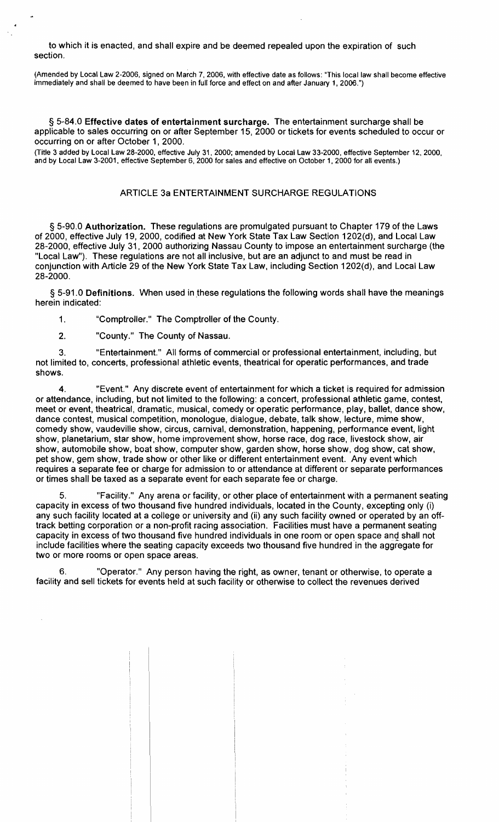to which it is enacted, and shall expire and be deemed repealed upon the expiration of such section.

(Amended by Local Law 2-2006, signed on March 7, 2006, with effective date as follows: "This local law shall become effective immediately and shall be deemed to have been in full force and effect on and after January 1, 2006.")

§ 5-84.0 Effective dates of entertainment surcharge. The entertainment surcharge shall be applicable to sales occurring on or after September 15, 2000 or tickets for events scheduled to occur or occurring on or after October 1, 2000.

(Title 3 added by Local Law 28-2000, effective July 31,2000; amended by Local Law 33-2000, effective September 12, 2000, and by Local Law 3-2001, effective September 6, 2000 for sales and effective on October 1, 2000 for all events.)

# ARTICLE 3a ENTERTAINMENT SURCHARGE REGULATIONS

§ 5-90.0 Authorization. These regulations are promulgated pursuant to Chapter 179 of the Laws of 2000, effective July 19, 2000, codified at New York State Tax Law Section 1202(d), and Local Law 28-2000, effective July 31, 2000 authorizing Nassau County to impose an entertainment surcharge (the "Local Law"). These regulations are not all inclusive, but are an adjunct to and must be read in conjunction with Article 29 of the New York State Tax Law, including Section 1202(d), and Local Law 28-2000.

§ 5-91.0 Definitions. When used in these regulations the following words shall have the meanings herein indicated:

1. "Comptroller." The Comptroller of the County.

2. "County." The County of Nassau.

3. "Entertainment." All forms of commercial or professional entertainment, including, but not limited to, concerts, professional athletic events, theatrical for operatic performances, and trade shows.

4. "Event." Any discrete event of entertainment for which a ticket is required for admission or attendance, including, but not limited to the following: a concert, professional athletic game, contest, meet or event, theatrical, dramatic, musical, comedy or operatic performance, play, ballet, dance show, dance contest, musical competition, monologue, dialogue, debate, talk show, lecture, mime show, comedy show, vaudeville show, circus, carnival, demonstration, happening, performance event, light show, planetarium, star show, home improvement show, horse race, dog race, livestock show, air show, automobile show, boat show, computer show, garden show, horse show, dog show, cat show, pet show, gem show, trade show or other like or different entertainment event. Any event which requires a separate fee or charge for admission to or attendance at different or separate performances or times shall be taxed as a separate event for each separate fee or charge.

"Facility." Any arena or facility, or other place of entertainment with a permanent seating capacity in excess of two thousand five hundred individuals, located in the County, excepting only (i) any such facility located at a college or university and (ii) any such facility owned or operated by an offtrack betting corporation or a non-profit racing association. Facilities must have a permanent seating capacity in excess of two thousand five hundred individuals in one room or open space and shall not include facilities where the seating capacity exceeds two thousand five hundred in the aggregate for two or more rooms or open space areas.

6. "Operator." Any person having the right, as owner, tenant or otherwise, to operate a facility and sell tickets for events held at such facility or otherwise to collect the revenues derived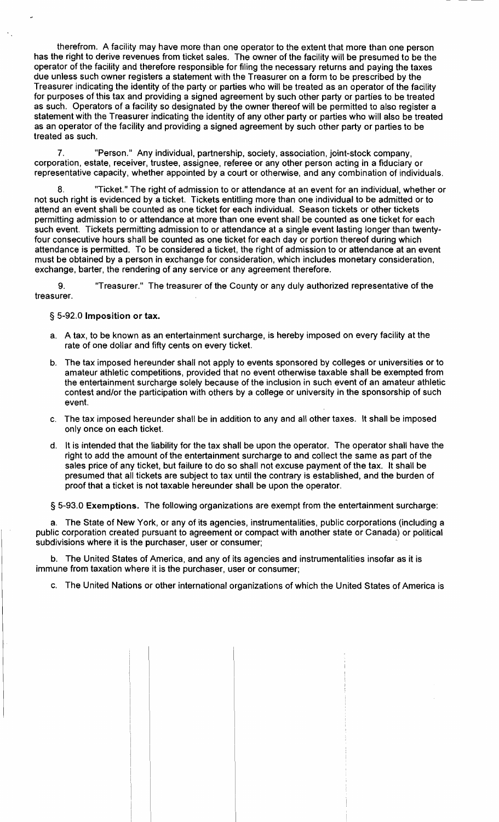therefrom. A facility may have more than one operator to the extent that more than one person has the right to derive revenues from ticket sales. The owner of the facility will be presumed to be the operator of the facility and therefore responsible for filing the necessary returns and paying the taxes due unless such owner registers a statement with the Treasurer on a form to be prescribed by the Treasurer indicating the identity of the party or parties who will be treated as an operator of the facility for purposes of this tax and providing a signed agreement by such other party or parties to be treated as such. Operators of a facility so designated by the owner thereof will be permitted to also register a statement with the Treasurer indicating the identity of any other party or parties who will also be treated as an operator of the facility and providing a signed agreement by such other party or parties to be treated as such.

"Person." Any individual, partnership, society, association, joint-stock company, corporation, estate, receiver, trustee, assignee, referee or any other person acting in a fiduciary or representative capacity, whether appointed by a court or otherwise, and any combination of individuals.

"Ticket." The right of admission to or attendance at an event for an individual, whether or not such right is evidenced by a ticket. Tickets entitling more than one individual to be admitted or to attend an event shall be counted as one ticket for each individual. Season tickets or other tickets permitting admission to or attendance at more than one event shall be counted as one ticket for each such event. Tickets permitting admission to or attendance at a single event lasting longer than twentyfour consecutive hours shall be counted as one ticket for each day or portion thereof during which attendance is permitted. To be considered a ticket, the right of admission to or attendance at an event must be obtained by a person in exchange for consideration, which includes monetary consideration, exchange, barter, the rendering of any service or any agreement therefore.

9. "Treasurer." The treasurer of the County or any duly authorized representative of the treasurer.

## § 5-92.0 Imposition or tax.

- a. A tax, to be known as an entertainment surcharge, is hereby imposed on every facility at the rate of one dollar and fifty cents on every ticket.
- b. The tax imposed hereunder shall not apply to events sponsored by colleges or universities or to amateur athletic competitions, provided that no event otherwise taxable shall be exempted from the entertainment surcharge solely because of the inclusion in such event of an amateur athletic contest and/or the participation with others by a college or university in the sponsorship of such event.
- c. The tax imposed hereunder shall be in addition to any and all other taxes. It shall be imposed only once on each ticket.
- d. It is intended that the liability for the tax shall be upon the operator. The operator shall have the right to add the amount of the entertainment surcharge to and collect the same as part of the sales price of any ticket, but failure to do so shall not excuse payment of the tax. It shall be presumed that all tickets are subject to tax until the contrary is established, and the burden of proof that a ticket is not taxable hereunder shall be upon the operator.

§ 5-93.0 Exemptions. The following organizations are exempt from the entertainment surcharge:

a. The State of New York, or any of its agencies, instrumentalities, public corporations (including a public corporation created pursuant to agreement or compact with another state or Canada) or political subdivisions where it is the purchaser, user or consumer;

b. The United States of America, and any of its agencies and instrumentalities insofar as it is immune from taxation where it is the purchaser, user or consumer;

c. The United Nations or other international organizations of which the United States of America is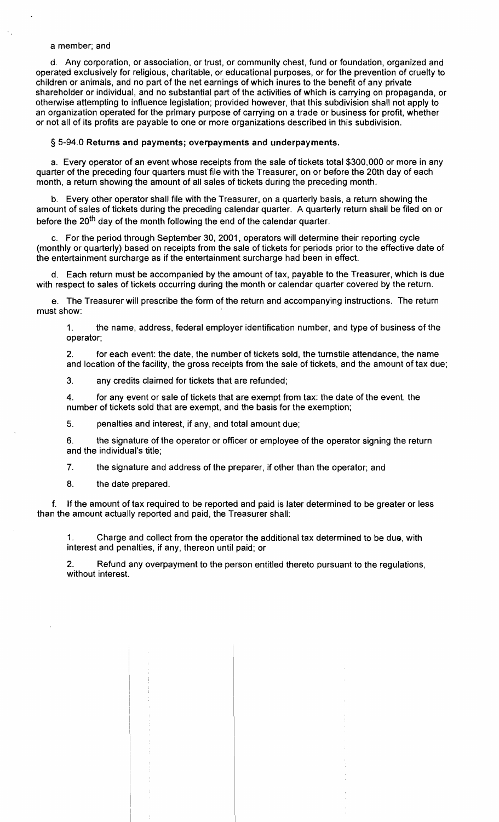### a member; and

d. Any corporation, or association, or trust, or community chest, fund or foundation, organized and operated exclusively for religious, charitable, or educational purposes, or for the prevention of cruelty to children or animals, and no part of the net earnings of which inures to the benefit of any private shareholder or individual, and no substantial part of the activities of which is carrying on propaganda, or otherwise attempting to influence legislation; provided however, that this subdivision shall not apply to an organization operated for the primary purpose of carrying on a trade or business for profit, whether or not all of its profits are payable to one or more organizations described in this subdivision.

### § 5-94.0 Returns and payments; overpayments and underpayments.

a. Every operator of an event whose receipts from the sale of tickets total \$300,000 or more in any quarter of the preceding four quarters must file with the Treasurer, on or before the 20th day of each month, a return showing the amount of all sales of tickets during the preceding month.

b. Every other operator shall file with the Treasurer, on a quarterly basis, a return showing the amount of sales of tickets during the preceding calendar quarter. A quarterly return shall be filed on or before the 20<sup>th</sup> day of the month following the end of the calendar quarter.

c. For the period through September 30, 2001, operators will determine their reporting cycle (monthly or quarterly) based on receipts from the sale of tickets for periods prior to the effective date of the entertainment surcharge as if the entertainment surcharge had been in effect.

d. Each return must be accompanied by the amount of tax, payable to the Treasurer, which is due with respect to sales of tickets occurring during the month or calendar quarter covered by the return.

e. The Treasurer will prescribe the form of the return and accompanying instructions. The return must show:

1. the name, address, federal employer identification number, and type of business of the operator;

2. for each event: the date, the number of tickets sold, the turnstile attendance, the name and location of the facility, the gross receipts from the sale of tickets, and the amount of tax due;

3. any credits claimed for tickets that are refunded;

4. for any event or sale of tickets that are exempt from tax: the date of the event, the number of tickets sold that are exempt, and the basis for the exemption;

5. penalties and interest, if any, and total amount due;

6. the signature of the operator or officer or employee of the operator signing the return and the individual's title;

7. the signature and address of the preparer, if other than the operator; and

8. the date prepared.

f. If the amount of tax required to be reported and paid is later determined to be greater or less than the amount actually reported and paid, the Treasurer shall:

1. Charge and collect from the operator the additional tax determined to be due, with interest and penalties, if any, thereon until paid; or

2. Refund any overpayment to the person entitled thereto pursuant to the regulations, without interest.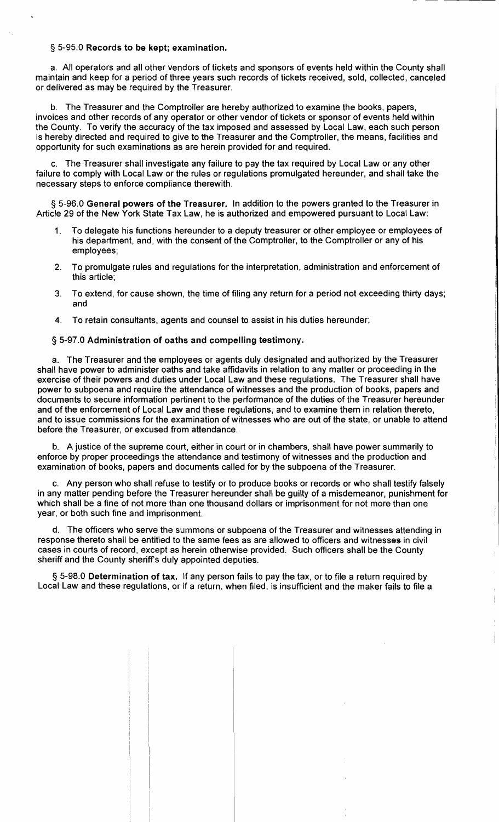## § 5-95.0 Records to be kept; examination.

a. All operators and all other vendors of tickets and sponsors of events held within the County shall maintain and keep for a period of three years such records of tickets received, sold, collected, canceled or delivered as may be required by the Treasurer.

b. The Treasurer and the Comptroller are hereby authorized to examine the books, papers, invoices and other records of any operator or other vendor of tickets or sponsor of events held within the County. To verify the accuracy of the tax imposed and assessed by Local Law, each such person is hereby directed and required to give to the Treasurer and the Comptroller, the means, facilities and opportunity for such examinations as are herein provided for and required.

The Treasurer shall investigate any failure to pay the tax required by Local Law or any other failure to comply with Local Law or the rules or regulations promulgated hereunder, and shall take the necessary steps to enforce compliance therewith.

§ 5-96.0 General powers of the Treasurer. In addition to the powers granted to the Treasurer in Article 29 of the New York State Tax Law, he is authorized and empowered pursuant to Local Law:

- 1. To delegate his functions hereunder to a deputy treasurer or other employee or employees of his department, and, with the consent of the Comptroller, to the Comptroller or any of his employees;
- 2. To promulgate rules and regulations for the interpretation, administration and enforcement of this article;
- 3. To extend, for cause shown, the time of filing any return for a period not exceeding thirty days; and
- 4. To retain consultants, agents and counsel to assist in his duties hereunder;

### § 5-97.0 Administration of oaths and compelling testimony.

a. The Treasurer and the employees or agents duly designated and authorized by the Treasurer shall have power to administer oaths and take affidavits in relation to any matter or proceeding in the exercise of their powers and duties under Local Law and these regulations. The Treasurer shall have power to subpoena and require the attendance of witnesses and the production of books, papers and documents to secure information pertinent to the performance of the duties of the Treasurer hereunder and of the enforcement of Local Law and these regulations, and to examine them in relation thereto, and to issue commissions for the examination of witnesses who are out of the state, or unable to attend before the Treasurer, or excused from attendance.

b. A justice of the supreme court, either in court or in chambers, shall have power summarily to enforce by proper proceedings the attendance and testimony of witnesses and the production and examination of books, papers and documents called for by the subpoena of the Treasurer.

c. Any person who shall refuse to testify or to produce books or records or who shall testify falsely in any matter pending before the Treasurer hereunder shall be guilty of a misdemeanor, punishment for which shall be a fine of not more than one thousand dollars or imprisonment for not more than one year, or both such fine and imprisonment.

d. The officers who serve the summons or subpoena of the Treasurer and witnesses attending in response thereto shall be entitled to the same fees as are allowed to officers and witnesses in civil cases in courts of record, except as herein otherwise provided. Such officers shall be the County sheriff and the County sheriff's duly appointed deputies.

§ 5-98.0 Determination of tax. If any person fails to pay the tax, or to file a return required by Local Law and these regulations, or if a return, when filed, is insufficient and the maker fails to file a

 $\mathbf i$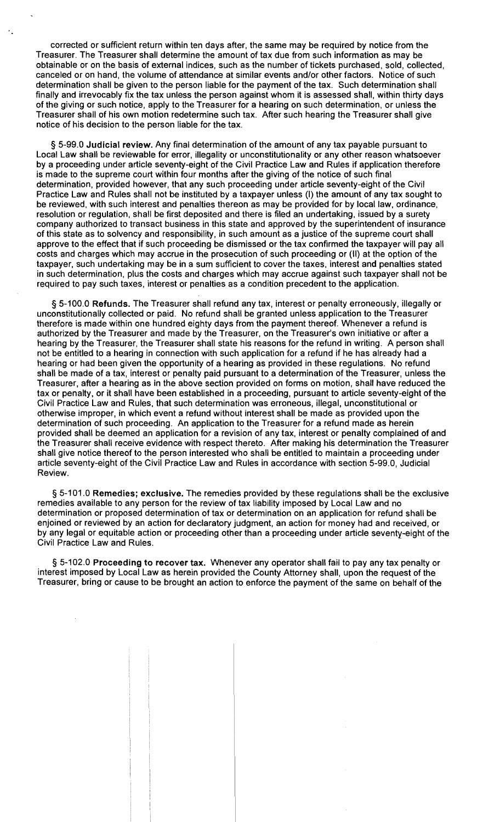corrected or sufficient return within ten days after, the same may be required by notice from the Treasurer. The Treasurer shall determine the amount of tax due from such information as may be obtainable or on the basis of external indices, such as the number of tickets purchased, sold, collected, canceled or on hand, the volume of attendance at similar events and/or other factors. Notice of such determination shall be given to the person liable for the payment of the tax. Such determination shall finally and irrevocably fix the tax unless the person against whom it is assessed shall, within thirty days of the giving or such notice, apply to the Treasurer for a hearing on such determination, or unless the Treasurer shall of his own motion redetermine such tax. After such hearing the Treasurer shall give notice of his decision to the person liable for the tax.

§ 5-99.0 Judicial review. Any final determination of the amount of any tax payable pursuant to Local Law shall be reviewable for error, illegality or unconstitutionality or any other reason whatsoever by a proceeding under article seventy-eight of the Civil Practice Law and Rules if application therefore is made to the supreme court within four months after the giving of the notice of such final determination, provided however, that any such proceeding under article seventy-eight of the Civil Practice Law and Rules shall not be instituted by a taxpayer unless (I) the amount of any tax sought to be reviewed, with such interest and penalties thereon as may be provided for by local law, ordinance, resolution or regulation, shall be first deposited and there is filed an undertaking, issued by a surety company authorized to transact business in this state and approved by the superintendent of insurance of this state as to solvency and responsibility, in such amount as a justice of the supreme court shall approve to the effect that if such proceeding be dismissed or the tax confirmed the taxpayer will pay all costs and charges which may accrue in the prosecution of such proceeding or (II) at the option of the taxpayer, such undertaking may be in a sum sufficient to cover the taxes, interest and penalties stated in such determination, plus the costs and charges which may accrue against such taxpayer shall not be required to pay such taxes, interest or penalties as a condition precedent to the application.

§ 5-100.0 Refunds. The Treasurer shall refund any tax, interest or penalty erroneously, illegally or unconstitutionally collected or paid. No refund shall be granted unless application to the Treasurer therefore is made within one hundred eighty days from the payment thereof. Whenever a refund is authorized by the Treasurer and made by the Treasurer, on the Treasurer's own initiative or after a hearing by the Treasurer, the Treasurer shall state his reasons for the refund in writing. A person shall not be entitled to a hearing in connection with such application for a refund if he has already had a hearing or had been given the opportunity of a hearing as provided in these regulations. No refund shall be made of a tax, interest or penalty paid pursuant to a determination of the Treasurer, unless the Treasurer, after a hearing as in the above section provided on forms on motion, shall have reduced the tax or penalty, or it shall have been established in a proceeding, pursuant to article seventy-eight of the Civil Practice Law and Rules, that such determination was erroneous, illegal, unconstitutional or otherwise improper, in which event a refund without interest shall be made as provided upon the determination of such proceeding. An application to the Treasurer for a refund made as herein provided shall be deemed an application for a revision of any tax, interest or penalty complained of and the Treasurer shall receive evidence with respect thereto. After making his determination the Treasurer shall give notice thereof to the person interested who shall be entitled to maintain a proceeding under article seventy-eight of the Civil Practice Law and Rules in accordance with section 5-99.0, judicial Review.

§ 5-101.0 Remedies; exclusive. The remedies provided by these regulations shall be the exclusive remedies available to any person for the review of tax liability imposed by Local Law and no determination or proposed determination of tax or determination on an application for refund shall be enjoined or reviewed by an action for declaratory judgment, an action for money had and received, or by any legal or equitable action or proceeding other than a proceeding under article seventy-eight of the Civil Practice Law and Rules.

§ 5-102.0 Proceeding to recover tax. Whenever any operator shall fail to pay any tax penalty or interest imposed by Local Law as herein provided the County Attorney shall, upon the request of the Treasurer, bring or cause to be brought an action to enforce the payment of the same on behalf of the